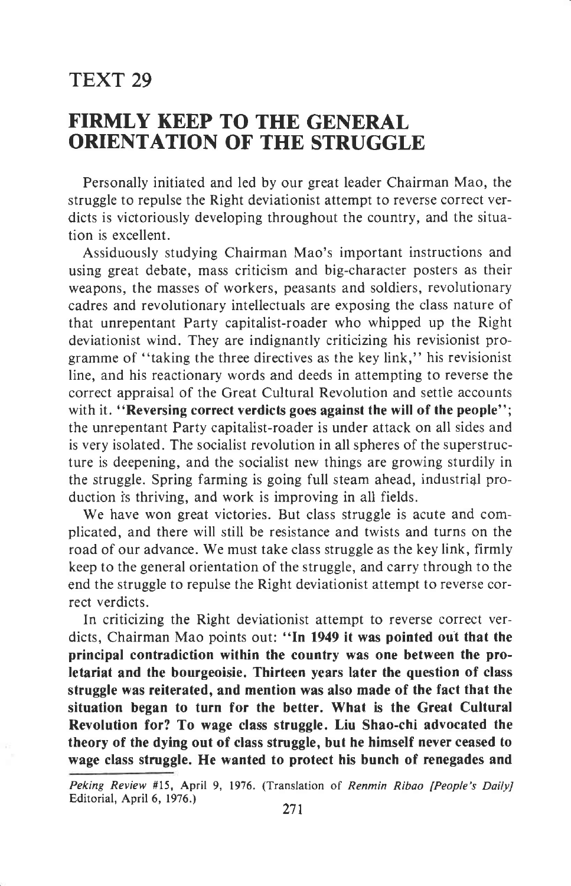## TEXT 29

## FIRMLY KEEP TO THE GENERAL ORIENTATION OF THE STRUGGLE

Personally initiated and led by our great leader Chairman Mao, the struggle to repulse the Right deviationist attempt to reverse correct verdicts is victoriously developing throughout the country, and the situation is excellent.

Assiduously studying Chairman Mao's important instructions and using great debate, mass criticism and big-character posters as their weapons, the masses of workers, peasants and soldiers, revolutionary cadres and revolutionary intellectuals are exposing the class nature of that unrepentant Party capitalist-roader who whipped up the Right deviationist wind. They are indignantly criticizing his revisionist programme of "taking the three directives as the key link," his revisionist line, and his reactionary words and deeds in attempting to reverse the correct appraisal of the Great Cultural Revolution and settle accounts with it. "Reversing correct verdicts goes against the will of the people"; the unrepentant Party capitalist-roader is under attack on all sides and is very isolated. The socialist revolution in all spheres of the superstructure is deepening, and the socialist new things are growing sturdily in the struggle. Spring farming is going full steam ahead, industrial production is thriving, and work is improving in all fields.

We have won great victories. But class struggle is acute and complicated, and there will still be resistance and twists and turns on the road of our advance. We must take class struggle as the key link, firmly keep to the general orientation of the struggle, and carry through to the end the struggle to repulse the Right deviationist attempt to reverse correct verdicts.

In criticizing the Right deviationist attempt to reverse correct verdicts, Chairman Mao points out: "In 1949 it was pointed out that the principal contradiction within the country was one between the proletariat and the bourgeoisie. Thirteen years later the question of class struggle was reiterated, and mention was also made of the fact that the situation began to turn for the better. What is the Great Cultural Revolution for? To wage class struggle. Liu Shao-chi advocated the theory of the dying out of class struggle, but he himself never ceased to wage class struggle. He wanted to protect his bunch of renegades and

Peking Review #15, April 9, 1976. (Translation of Renmin Ribao [People's Daily] Editorial, April 6, 1976.)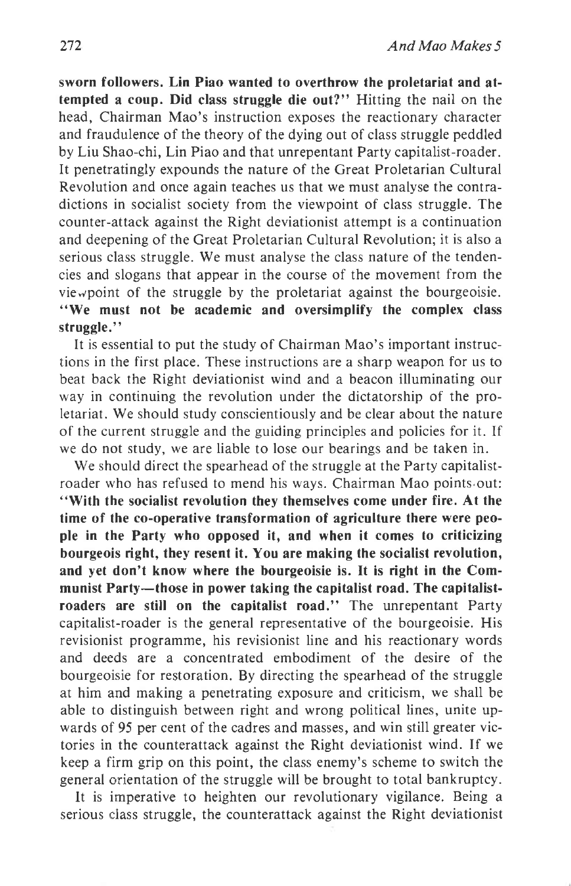sworn followers. Lin Piao wanted to overthrow the proletariat and attempted a coup. Did class struggle die out?" Hitting the nail on the head, Chairman Mao's instruction exposes the reactionary character and fraudulence of the theory of the dying out of class struggle peddled by Liu Shao-chi, Lin Piao and that unrepentant Party capitalist-roader. It penetratingly expounds the nature of the Great Proletarian Cultural Revolution and once again teaches us that we must analyse the contradictions in socialist society from the viewpoint of class struggle. The counter-attack against the Right deviationist attempt is a continuation and deepening of the Great Proletarian Cultural Revolution; it is also a serious class struggle. We must analyse the class nature of the tendencies and slogans that appear in the course of the movement from the vie"vpoint of the struggle by the proletariat against the bourgeoisie. "We must not be academic and oversimplify the complex class struggle."

It is essential to put the study of Chairman Mao's important instructions in the first place. These instructions are a sharp weapon for us to beat back the Right deviationist wind and a beacon illuminating our way in continuing the revolution under the dictatorship of the proletariat. We should study conscientiously and be clear about the nature of the current struggle and the guiding principles and policies for it. If we do not study, we are liable to lose our bearings and be taken in.

We should direct the spearhead of the struggle at the Party capitalistroader who has refused to mend his ways. Chairman Mao points out: "With the socialist revolution they themselves come under fire. At the time of the co-operative transformation of agriculture there were people in the Party who opposed it, and when it comes to criticizing bourgeois right, they resent it. You are making the socialist revolution, and yet don't know where the bourgeoisie is. It is right in the Communist Party-those in power taking the capitalist road. The capitalistroaders are still on the capitalist road." The unrepentant Party capitalist-roader is the general representative of the bourgeoisie. His revisionist programme, his revisionist line and his reactionary words and deeds are a concentrated embodiment of the desire of the bourgeoisie for restoration. By directing the spearhead of the struggle at him and making a penetrating exposure and criticism, we shall be able to distinguish between right and wrong political lines, unite upwards of 95 per cent of the cadres and masses, and win still greater victories in the counterattack against the Right deviationist wind. If we keep a firm grip on this point, the class enemy's scheme to switch the general orientation of the struggle will be brought to total bankruptcy.

It is imperative to heighten our revolutionary vigilance. Being <sup>a</sup> serious class struggle, the counterattack against the Right deviationist